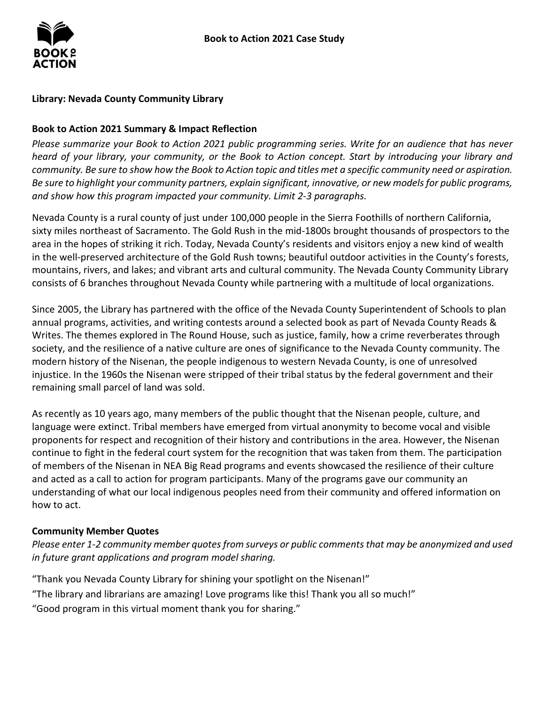### **Library: Nevada County Community Library**

#### **Book to Action 2021 Summary & Impact Reflection**

*Please summarize your Book to Action 2021 public programming series. Write for an audience that has never heard of your library, your community, or the Book to Action concept. Start by introducing your library and community. Be sure to show how the Book to Action topic and titles met a specific community need or aspiration. Be sure to highlight your community partners, explain significant, innovative, or new models for public programs, and show how this program impacted your community. Limit 2-3 paragraphs.* 

 in the well-preserved architecture of the Gold Rush towns; beautiful outdoor activities in the County's forests, Nevada County is a rural county of just under 100,000 people in the Sierra Foothills of northern California, sixty miles northeast of Sacramento. The Gold Rush in the mid-1800s brought thousands of prospectors to the area in the hopes of striking it rich. Today, Nevada County's residents and visitors enjoy a new kind of wealth mountains, rivers, and lakes; and vibrant arts and cultural community. The Nevada County Community Library consists of 6 branches throughout Nevada County while partnering with a multitude of local organizations.

 Writes. The themes explored in The Round House, such as justice, family, how a crime reverberates through modern history of the Nisenan, the people indigenous to western Nevada County, is one of unresolved injustice. In the 1960s the Nisenan were stripped of their tribal status by the federal government and their remaining small parcel of land was sold. Since 2005, the Library has partnered with the office of the Nevada County Superintendent of Schools to plan annual programs, activities, and writing contests around a selected book as part of Nevada County Reads & society, and the resilience of a native culture are ones of significance to the Nevada County community. The

remaining small parcel of land was sold.<br>As recently as 10 years ago, many members of the public thought that the Nisenan people, culture, and proponents for respect and recognition of their history and contributions in the area. However, the Nisenan continue to fight in the federal court system for the recognition that was taken from them. The participation of members of the Nisenan in NEA Big Read programs and events showcased the resilience of their culture language were extinct. Tribal members have emerged from virtual anonymity to become vocal and visible and acted as a call to action for program participants. Many of the programs gave our community an understanding of what our local indigenous peoples need from their community and offered information on how to act.

#### **Community Member Quotes**

*Please enter 1-2 community member quotes from surveys or public comments that may be anonymized and used in future grant applications and program model sharing.* 

"Thank you Nevada County Library for shining your spotlight on the Nisenan!" "The library and librarians are amazing! Love programs like this! Thank you all so much!" "Good program in this virtual moment thank you for sharing."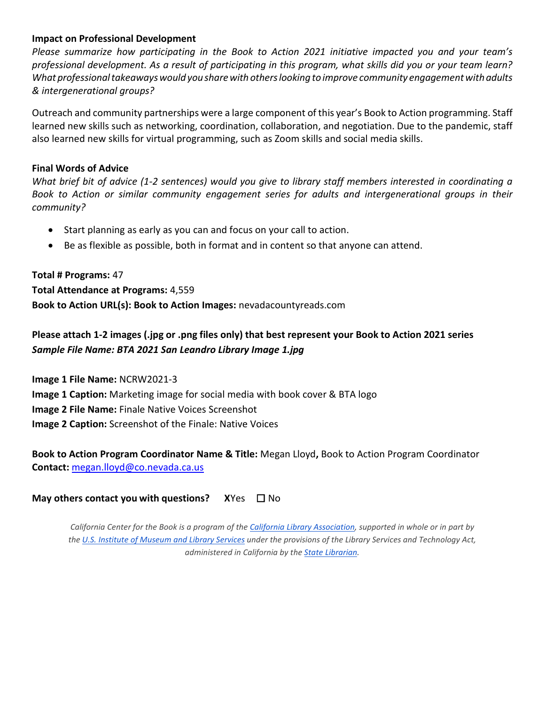#### **Impact on Professional Development**

 *What professional takeaways would you share with others looking to improve community engagement with adults & intergenerational groups? Please summarize how participating in the Book to Action 2021 initiative impacted you and your team's professional development. As a result of participating in this program, what skills did you or your team learn?* 

 Outreach and community partnerships were a large component of this year's Book to Action programming. Staff learned new skills such as networking, coordination, collaboration, and negotiation. Due to the pandemic, staff also learned new skills for virtual programming, such as Zoom skills and social media skills.

#### **Final Words of Advice**

*What brief bit of advice (1-2 sentences) would you give to library staff members interested in coordinating a Book to Action or similar community engagement series for adults and intergenerational groups in their community?* 

- Start planning as early as you can and focus on your call to action.
- Be as flexible as possible, both in format and in content so that anyone can attend.

## **Total # Programs:** 47 **Total Attendance at Programs:** 4,559 **Book to Action URL(s): Book to Action Images:** nevadacountyreads.com

# **Please attach 1-2 images (.jpg or .png files only) that best represent your Book to Action 2021 series**   *Sample File Name: BTA 2021 San Leandro Library Image 1.jpg*

**Image 1 File Name:** NCRW2021-3 **Image 1 Caption:** Marketing image for social media with book cover & BTA logo **Image 2 File Name:** Finale Native Voices Screenshot **Image 2 Caption:** Screenshot of the Finale: Native Voices

 **Book to Action Program Coordinator Name & Title:** Megan Lloyd**,** Book to Action Program Coordinator **Contact:** [megan.lloyd@co.nevada.ca.us](mailto:megan.lloyd@co.nevada.ca.us) 

## **May others contact you with questions?** XYes □ No

 *California Center for the Book is a program of the [California Library Association,](http://www.cla-net.org/) supported in whole or in part by th[e U.S. Institute of Museum and Library Services u](http://www.imls.gov/)nder the provisions of the Library Services and Technology Act, administered in California by the [State Librarian.](http://www.library.ca.gov/)*